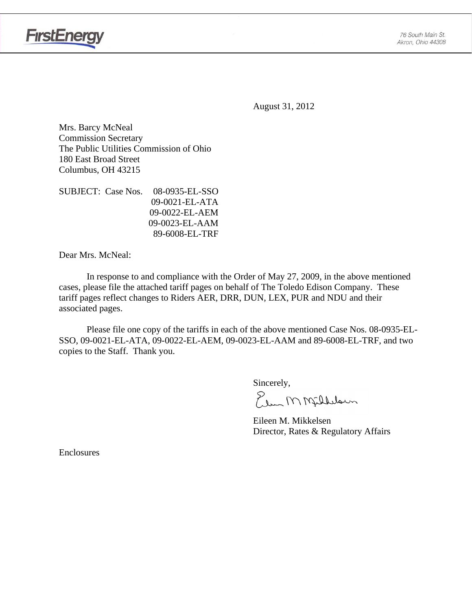76 South Main St. Akron, Ohio 44308



August 31, 2012

Mrs. Barcy McNeal Commission Secretary The Public Utilities Commission of Ohio 180 East Broad Street Columbus, OH 43215

SUBJECT: Case Nos. 08-0935-EL-SSO 09-0021-EL-ATA 09-0022-EL-AEM 09-0023-EL-AAM 89-6008-EL-TRF

Dear Mrs. McNeal:

 In response to and compliance with the Order of May 27, 2009, in the above mentioned cases, please file the attached tariff pages on behalf of The Toledo Edison Company. These tariff pages reflect changes to Riders AER, DRR, DUN, LEX, PUR and NDU and their associated pages.

Please file one copy of the tariffs in each of the above mentioned Case Nos. 08-0935-EL-SSO, 09-0021-EL-ATA, 09-0022-EL-AEM, 09-0023-EL-AAM and 89-6008-EL-TRF, and two copies to the Staff. Thank you.

Sincerely,

Plus MMfillelown

 Eileen M. Mikkelsen Director, Rates & Regulatory Affairs

**Enclosures**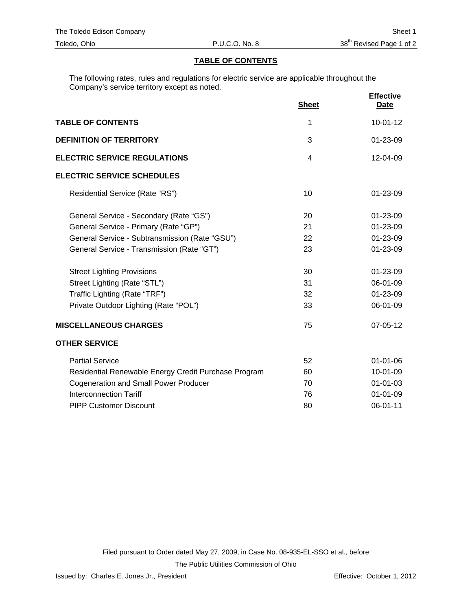## **TABLE OF CONTENTS**

The following rates, rules and regulations for electric service are applicable throughout the Company's service territory except as noted.

|                                                      | <b>Sheet</b> | <b>Effective</b><br><b>Date</b> |
|------------------------------------------------------|--------------|---------------------------------|
| <b>TABLE OF CONTENTS</b>                             | 1            | $10-01-12$                      |
| <b>DEFINITION OF TERRITORY</b>                       | 3            | 01-23-09                        |
| <b>ELECTRIC SERVICE REGULATIONS</b>                  | 4            | 12-04-09                        |
| <b>ELECTRIC SERVICE SCHEDULES</b>                    |              |                                 |
| Residential Service (Rate "RS")                      | 10           | $01 - 23 - 09$                  |
| General Service - Secondary (Rate "GS")              | 20           | $01 - 23 - 09$                  |
| General Service - Primary (Rate "GP")                | 21           | $01 - 23 - 09$                  |
| General Service - Subtransmission (Rate "GSU")       | 22           | 01-23-09                        |
| General Service - Transmission (Rate "GT")           | 23           | 01-23-09                        |
| <b>Street Lighting Provisions</b>                    | 30           | 01-23-09                        |
| Street Lighting (Rate "STL")                         | 31           | 06-01-09                        |
| Traffic Lighting (Rate "TRF")                        | 32           | 01-23-09                        |
| Private Outdoor Lighting (Rate "POL")                | 33           | 06-01-09                        |
| <b>MISCELLANEOUS CHARGES</b>                         | 75           | $07 - 05 - 12$                  |
| <b>OTHER SERVICE</b>                                 |              |                                 |
| <b>Partial Service</b>                               | 52           | $01 - 01 - 06$                  |
| Residential Renewable Energy Credit Purchase Program | 60           | 10-01-09                        |
| <b>Cogeneration and Small Power Producer</b>         | 70           | $01 - 01 - 03$                  |
| <b>Interconnection Tariff</b>                        | 76           | $01 - 01 - 09$                  |
| <b>PIPP Customer Discount</b>                        | 80           | 06-01-11                        |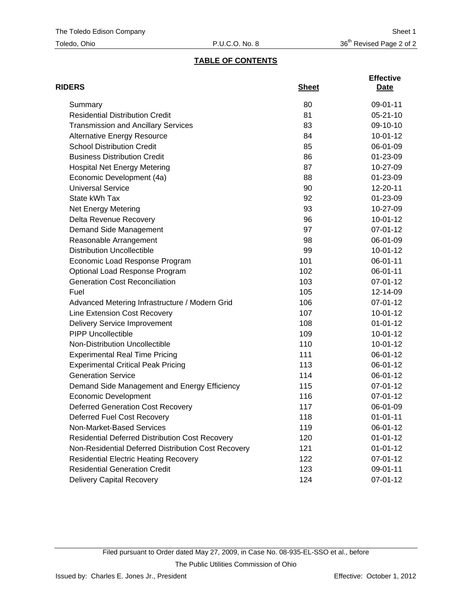# **TABLE OF CONTENTS**

| <b>RIDERS</b>                                          | <b>Sheet</b> | <b>Effective</b><br>Date |
|--------------------------------------------------------|--------------|--------------------------|
| Summary                                                | 80           | 09-01-11                 |
| <b>Residential Distribution Credit</b>                 | 81           | $05 - 21 - 10$           |
| <b>Transmission and Ancillary Services</b>             | 83           | 09-10-10                 |
| <b>Alternative Energy Resource</b>                     | 84           | $10-01-12$               |
| <b>School Distribution Credit</b>                      | 85           | 06-01-09                 |
| <b>Business Distribution Credit</b>                    | 86           | 01-23-09                 |
| <b>Hospital Net Energy Metering</b>                    | 87           | 10-27-09                 |
| Economic Development (4a)                              | 88           | 01-23-09                 |
| <b>Universal Service</b>                               | 90           | 12-20-11                 |
| State kWh Tax                                          | 92           | 01-23-09                 |
| <b>Net Energy Metering</b>                             | 93           | 10-27-09                 |
| Delta Revenue Recovery                                 | 96           | $10-01-12$               |
| Demand Side Management                                 | 97           | 07-01-12                 |
| Reasonable Arrangement                                 | 98           | 06-01-09                 |
| <b>Distribution Uncollectible</b>                      | 99           | $10-01-12$               |
| Economic Load Response Program                         | 101          | 06-01-11                 |
| Optional Load Response Program                         | 102          | 06-01-11                 |
| <b>Generation Cost Reconciliation</b>                  | 103          | 07-01-12                 |
| Fuel                                                   | 105          | 12-14-09                 |
| Advanced Metering Infrastructure / Modern Grid         | 106          | 07-01-12                 |
| Line Extension Cost Recovery                           | 107          | $10-01-12$               |
| <b>Delivery Service Improvement</b>                    | 108          | $01 - 01 - 12$           |
| <b>PIPP Uncollectible</b>                              | 109          | $10-01-12$               |
| Non-Distribution Uncollectible                         | 110          | 10-01-12                 |
| <b>Experimental Real Time Pricing</b>                  | 111          | 06-01-12                 |
| <b>Experimental Critical Peak Pricing</b>              | 113          | 06-01-12                 |
| <b>Generation Service</b>                              | 114          | 06-01-12                 |
| Demand Side Management and Energy Efficiency           | 115          | 07-01-12                 |
| <b>Economic Development</b>                            | 116          | 07-01-12                 |
| <b>Deferred Generation Cost Recovery</b>               | 117          | 06-01-09                 |
| Deferred Fuel Cost Recovery                            | 118          | $01 - 01 - 11$           |
| Non-Market-Based Services                              | 119          | 06-01-12                 |
| <b>Residential Deferred Distribution Cost Recovery</b> | 120          | $01 - 01 - 12$           |
| Non-Residential Deferred Distribution Cost Recovery    | 121          | $01 - 01 - 12$           |
| <b>Residential Electric Heating Recovery</b>           | 122          | 07-01-12                 |
| <b>Residential Generation Credit</b>                   | 123          | 09-01-11                 |
| <b>Delivery Capital Recovery</b>                       | 124          | 07-01-12                 |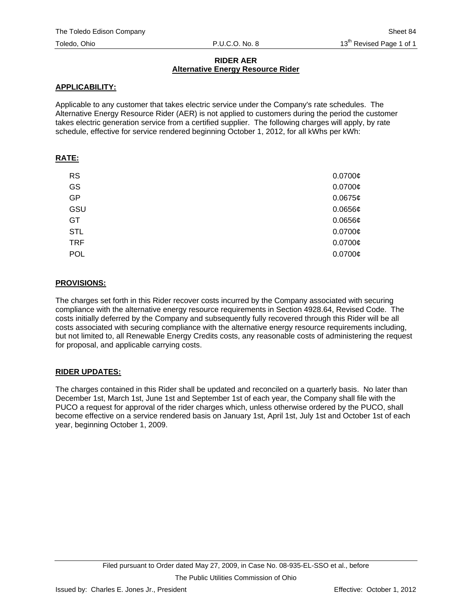## **RIDER AER Alternative Energy Resource Rider**

## **APPLICABILITY:**

Applicable to any customer that takes electric service under the Company's rate schedules. The Alternative Energy Resource Rider (AER) is not applied to customers during the period the customer takes electric generation service from a certified supplier. The following charges will apply, by rate schedule, effective for service rendered beginning October 1, 2012, for all kWhs per kWh:

## **RATE:**

| <b>RS</b>  | $0.0700$ ¢   |
|------------|--------------|
| GS         | $0.0700$ ¢   |
| <b>GP</b>  | 0.0675¢      |
| GSU        | $0.0656$ ¢   |
| GT         | $0.0656$ ¢   |
| <b>STL</b> | $0.0700$ ¢   |
| <b>TRF</b> | $0.0700$ ¢   |
| <b>POL</b> | $0.0700\phi$ |

## **PROVISIONS:**

The charges set forth in this Rider recover costs incurred by the Company associated with securing compliance with the alternative energy resource requirements in Section 4928.64, Revised Code. The costs initially deferred by the Company and subsequently fully recovered through this Rider will be all costs associated with securing compliance with the alternative energy resource requirements including, but not limited to, all Renewable Energy Credits costs, any reasonable costs of administering the request for proposal, and applicable carrying costs.

# **RIDER UPDATES:**

The charges contained in this Rider shall be updated and reconciled on a quarterly basis. No later than December 1st, March 1st, June 1st and September 1st of each year, the Company shall file with the PUCO a request for approval of the rider charges which, unless otherwise ordered by the PUCO, shall become effective on a service rendered basis on January 1st, April 1st, July 1st and October 1st of each year, beginning October 1, 2009.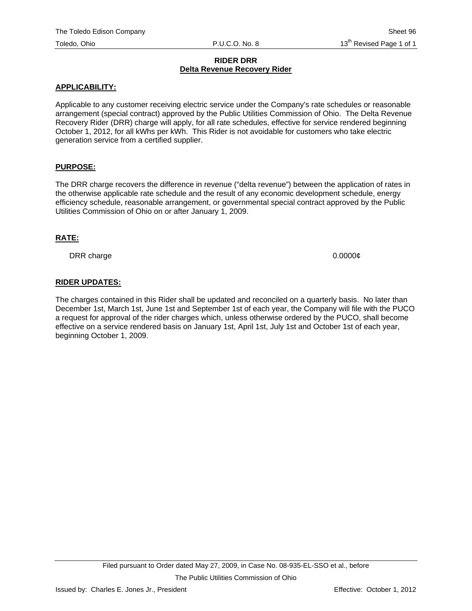#### **RIDER DRR Delta Revenue Recovery Rider**

## **APPLICABILITY:**

Applicable to any customer receiving electric service under the Company's rate schedules or reasonable arrangement (special contract) approved by the Public Utilities Commission of Ohio. The Delta Revenue Recovery Rider (DRR) charge will apply, for all rate schedules, effective for service rendered beginning October 1, 2012, for all kWhs per kWh. This Rider is not avoidable for customers who take electric generation service from a certified supplier.

## **PURPOSE:**

The DRR charge recovers the difference in revenue ("delta revenue") between the application of rates in the otherwise applicable rate schedule and the result of any economic development schedule, energy efficiency schedule, reasonable arrangement, or governmental special contract approved by the Public Utilities Commission of Ohio on or after January 1, 2009.

#### **RATE:**

DRR charge 0.0000¢

## **RIDER UPDATES:**

The charges contained in this Rider shall be updated and reconciled on a quarterly basis. No later than December 1st, March 1st, June 1st and September 1st of each year, the Company will file with the PUCO a request for approval of the rider charges which, unless otherwise ordered by the PUCO, shall become effective on a service rendered basis on January 1st, April 1st, July 1st and October 1st of each year, beginning October 1, 2009.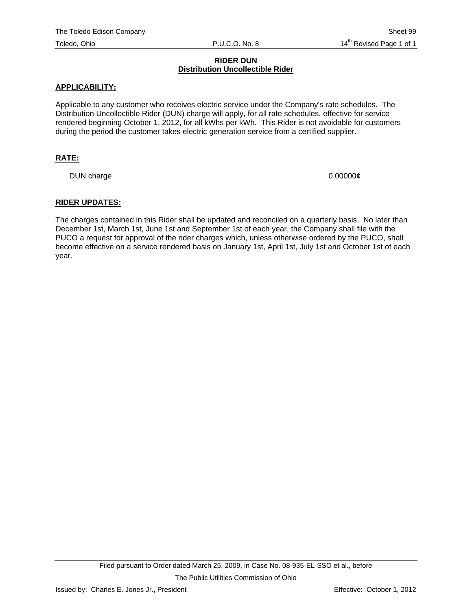### **RIDER DUN Distribution Uncollectible Rider**

#### **APPLICABILITY:**

Applicable to any customer who receives electric service under the Company's rate schedules. The Distribution Uncollectible Rider (DUN) charge will apply, for all rate schedules, effective for service rendered beginning October 1, 2012, for all kWhs per kWh. This Rider is not avoidable for customers during the period the customer takes electric generation service from a certified supplier.

## **RATE:**

DUN charge  $0.000000\ell$ 

#### **RIDER UPDATES:**

The charges contained in this Rider shall be updated and reconciled on a quarterly basis. No later than December 1st, March 1st, June 1st and September 1st of each year, the Company shall file with the PUCO a request for approval of the rider charges which, unless otherwise ordered by the PUCO, shall become effective on a service rendered basis on January 1st, April 1st, July 1st and October 1st of each year.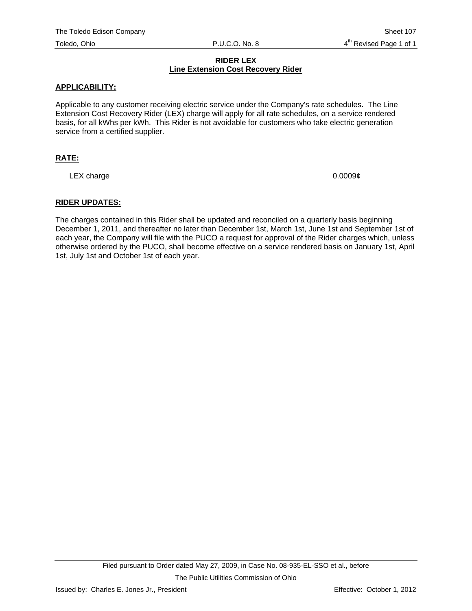## **RIDER LEX Line Extension Cost Recovery Rider**

## **APPLICABILITY:**

Applicable to any customer receiving electric service under the Company's rate schedules. The Line Extension Cost Recovery Rider (LEX) charge will apply for all rate schedules, on a service rendered basis, for all kWhs per kWh. This Rider is not avoidable for customers who take electric generation service from a certified supplier.

## **RATE:**

LEX charge  $0.0009\ell$ 

## **RIDER UPDATES:**

The charges contained in this Rider shall be updated and reconciled on a quarterly basis beginning December 1, 2011, and thereafter no later than December 1st, March 1st, June 1st and September 1st of each year, the Company will file with the PUCO a request for approval of the Rider charges which, unless otherwise ordered by the PUCO, shall become effective on a service rendered basis on January 1st, April 1st, July 1st and October 1st of each year.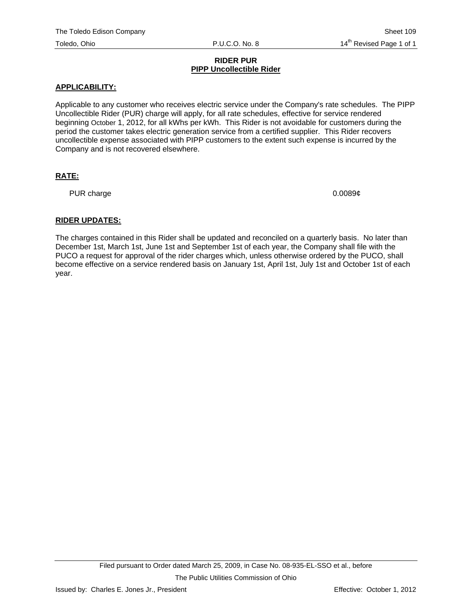#### **RIDER PUR PIPP Uncollectible Rider**

## **APPLICABILITY:**

Applicable to any customer who receives electric service under the Company's rate schedules. The PIPP Uncollectible Rider (PUR) charge will apply, for all rate schedules, effective for service rendered beginning October 1, 2012, for all kWhs per kWh. This Rider is not avoidable for customers during the period the customer takes electric generation service from a certified supplier. This Rider recovers uncollectible expense associated with PIPP customers to the extent such expense is incurred by the Company and is not recovered elsewhere.

# **RATE:**

PUR charge 0.0089¢

## **RIDER UPDATES:**

The charges contained in this Rider shall be updated and reconciled on a quarterly basis. No later than December 1st, March 1st, June 1st and September 1st of each year, the Company shall file with the PUCO a request for approval of the rider charges which, unless otherwise ordered by the PUCO, shall become effective on a service rendered basis on January 1st, April 1st, July 1st and October 1st of each year.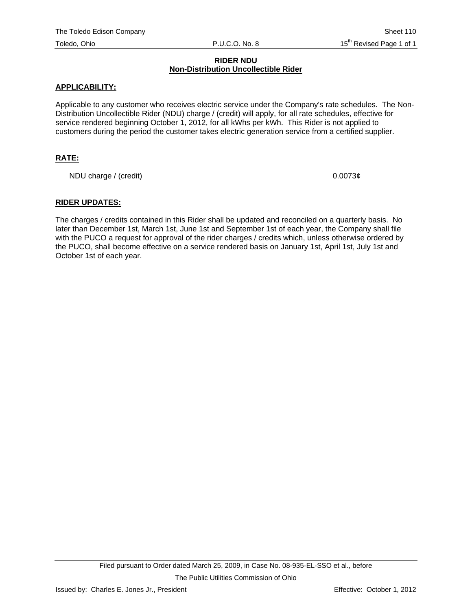#### **RIDER NDU Non-Distribution Uncollectible Rider**

### **APPLICABILITY:**

Applicable to any customer who receives electric service under the Company's rate schedules. The Non-Distribution Uncollectible Rider (NDU) charge / (credit) will apply, for all rate schedules, effective for service rendered beginning October 1, 2012, for all kWhs per kWh. This Rider is not applied to customers during the period the customer takes electric generation service from a certified supplier.

## **RATE:**

NDU charge / (credit) 0.0073¢

#### **RIDER UPDATES:**

The charges / credits contained in this Rider shall be updated and reconciled on a quarterly basis. No later than December 1st, March 1st, June 1st and September 1st of each year, the Company shall file with the PUCO a request for approval of the rider charges / credits which, unless otherwise ordered by the PUCO, shall become effective on a service rendered basis on January 1st, April 1st, July 1st and October 1st of each year.